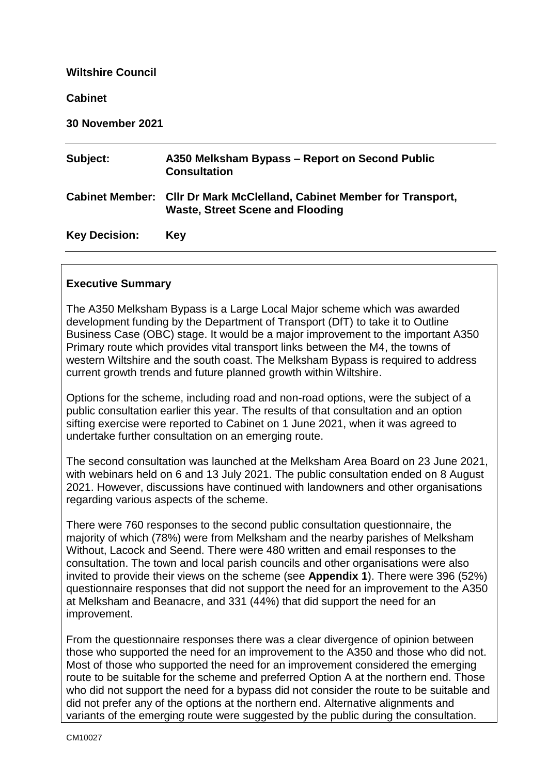#### **Wiltshire Council**

#### **Cabinet**

| <b>30 November 2021</b> |  |
|-------------------------|--|
|-------------------------|--|

| Subject:             | A350 Melksham Bypass – Report on Second Public<br><b>Consultation</b>                                             |
|----------------------|-------------------------------------------------------------------------------------------------------------------|
|                      | Cabinet Member: Cllr Dr Mark McClelland, Cabinet Member for Transport,<br><b>Waste, Street Scene and Flooding</b> |
| <b>Key Decision:</b> | <b>Key</b>                                                                                                        |

#### **Executive Summary**

The A350 Melksham Bypass is a Large Local Major scheme which was awarded development funding by the Department of Transport (DfT) to take it to Outline Business Case (OBC) stage. It would be a major improvement to the important A350 Primary route which provides vital transport links between the M4, the towns of western Wiltshire and the south coast. The Melksham Bypass is required to address current growth trends and future planned growth within Wiltshire.

Options for the scheme, including road and non-road options, were the subject of a public consultation earlier this year. The results of that consultation and an option sifting exercise were reported to Cabinet on 1 June 2021, when it was agreed to undertake further consultation on an emerging route.

The second consultation was launched at the Melksham Area Board on 23 June 2021, with webinars held on 6 and 13 July 2021. The public consultation ended on 8 August 2021. However, discussions have continued with landowners and other organisations regarding various aspects of the scheme.

There were 760 responses to the second public consultation questionnaire, the majority of which (78%) were from Melksham and the nearby parishes of Melksham Without, Lacock and Seend. There were 480 written and email responses to the consultation. The town and local parish councils and other organisations were also invited to provide their views on the scheme (see **Appendix 1**). There were 396 (52%) questionnaire responses that did not support the need for an improvement to the A350 at Melksham and Beanacre, and 331 (44%) that did support the need for an improvement.

From the questionnaire responses there was a clear divergence of opinion between those who supported the need for an improvement to the A350 and those who did not. Most of those who supported the need for an improvement considered the emerging route to be suitable for the scheme and preferred Option A at the northern end. Those who did not support the need for a bypass did not consider the route to be suitable and did not prefer any of the options at the northern end. Alternative alignments and variants of the emerging route were suggested by the public during the consultation.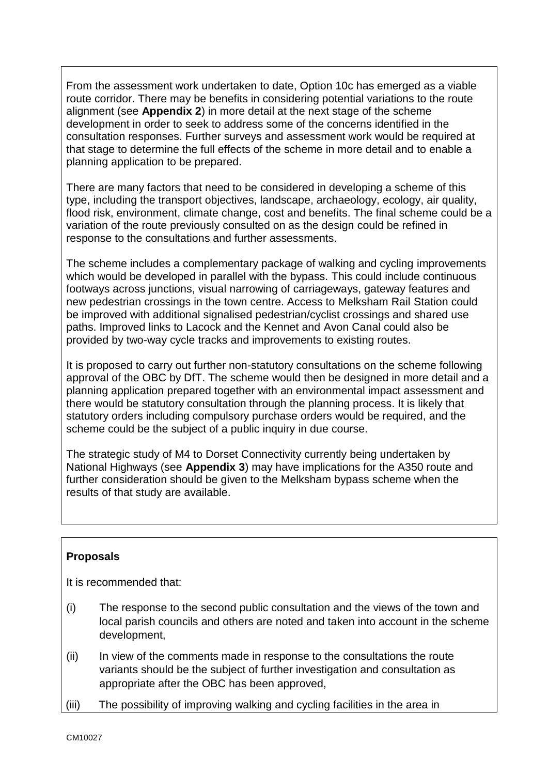From the assessment work undertaken to date, Option 10c has emerged as a viable route corridor. There may be benefits in considering potential variations to the route alignment (see **Appendix 2**) in more detail at the next stage of the scheme development in order to seek to address some of the concerns identified in the consultation responses. Further surveys and assessment work would be required at that stage to determine the full effects of the scheme in more detail and to enable a planning application to be prepared.

There are many factors that need to be considered in developing a scheme of this type, including the transport objectives, landscape, archaeology, ecology, air quality, flood risk, environment, climate change, cost and benefits. The final scheme could be a variation of the route previously consulted on as the design could be refined in response to the consultations and further assessments.

The scheme includes a complementary package of walking and cycling improvements which would be developed in parallel with the bypass. This could include continuous footways across junctions, visual narrowing of carriageways, gateway features and new pedestrian crossings in the town centre. Access to Melksham Rail Station could be improved with additional signalised pedestrian/cyclist crossings and shared use paths. Improved links to Lacock and the Kennet and Avon Canal could also be provided by two-way cycle tracks and improvements to existing routes.

It is proposed to carry out further non-statutory consultations on the scheme following approval of the OBC by DfT. The scheme would then be designed in more detail and a planning application prepared together with an environmental impact assessment and there would be statutory consultation through the planning process. It is likely that statutory orders including compulsory purchase orders would be required, and the scheme could be the subject of a public inquiry in due course.

The strategic study of M4 to Dorset Connectivity currently being undertaken by National Highways (see **Appendix 3**) may have implications for the A350 route and further consideration should be given to the Melksham bypass scheme when the results of that study are available.

# **Proposals**

It is recommended that:

- (i) The response to the second public consultation and the views of the town and local parish councils and others are noted and taken into account in the scheme development,
- (ii) In view of the comments made in response to the consultations the route variants should be the subject of further investigation and consultation as appropriate after the OBC has been approved,
- (iii) The possibility of improving walking and cycling facilities in the area in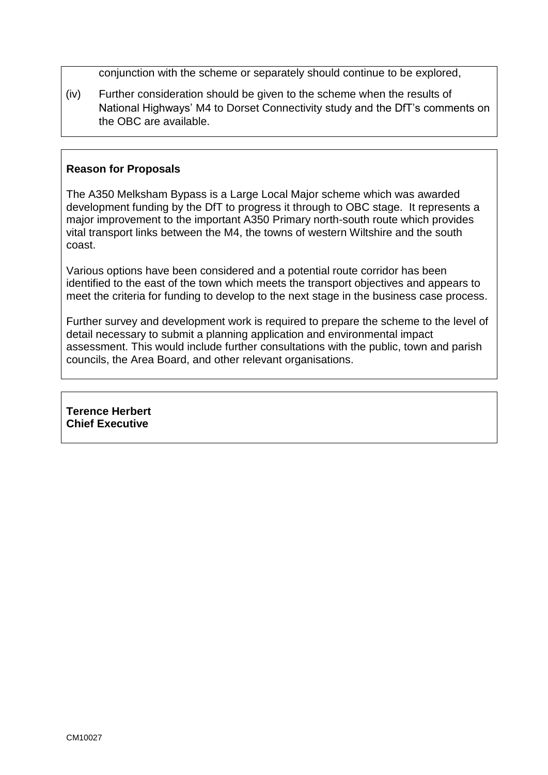conjunction with the scheme or separately should continue to be explored,

(iv) Further consideration should be given to the scheme when the results of National Highways' M4 to Dorset Connectivity study and the DfT's comments on the OBC are available.

# **Reason for Proposals**

The A350 Melksham Bypass is a Large Local Major scheme which was awarded development funding by the DfT to progress it through to OBC stage. It represents a major improvement to the important A350 Primary north-south route which provides vital transport links between the M4, the towns of western Wiltshire and the south coast.

Various options have been considered and a potential route corridor has been identified to the east of the town which meets the transport objectives and appears to meet the criteria for funding to develop to the next stage in the business case process.

Further survey and development work is required to prepare the scheme to the level of detail necessary to submit a planning application and environmental impact assessment. This would include further consultations with the public, town and parish councils, the Area Board, and other relevant organisations.

**Terence Herbert Chief Executive**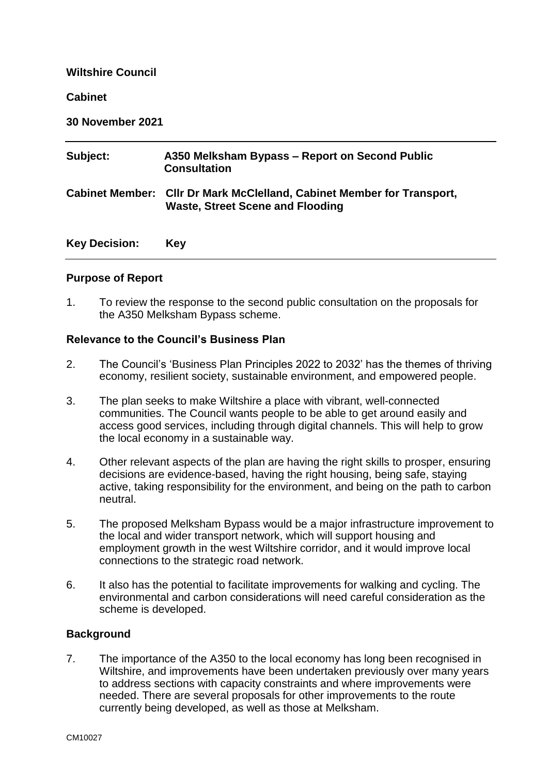### **Wiltshire Council**

#### **Cabinet**

**30 November 2021**

| Subject:             | A350 Melksham Bypass – Report on Second Public<br><b>Consultation</b>                                             |
|----------------------|-------------------------------------------------------------------------------------------------------------------|
|                      | Cabinet Member: Cllr Dr Mark McClelland, Cabinet Member for Transport,<br><b>Waste, Street Scene and Flooding</b> |
| <b>Key Decision:</b> | <b>Key</b>                                                                                                        |

# **Purpose of Report**

1. To review the response to the second public consultation on the proposals for the A350 Melksham Bypass scheme.

#### **Relevance to the Council's Business Plan**

- 2. The Council's 'Business Plan Principles 2022 to 2032' has the themes of thriving economy, resilient society, sustainable environment, and empowered people.
- 3. The plan seeks to make Wiltshire a place with vibrant, well-connected communities. The Council wants people to be able to get around easily and access good services, including through digital channels. This will help to grow the local economy in a sustainable way.
- 4. Other relevant aspects of the plan are having the right skills to prosper, ensuring decisions are evidence-based, having the right housing, being safe, staying active, taking responsibility for the environment, and being on the path to carbon neutral.
- 5. The proposed Melksham Bypass would be a major infrastructure improvement to the local and wider transport network, which will support housing and employment growth in the west Wiltshire corridor, and it would improve local connections to the strategic road network.
- 6. It also has the potential to facilitate improvements for walking and cycling. The environmental and carbon considerations will need careful consideration as the scheme is developed.

# **Background**

7. The importance of the A350 to the local economy has long been recognised in Wiltshire, and improvements have been undertaken previously over many years to address sections with capacity constraints and where improvements were needed. There are several proposals for other improvements to the route currently being developed, as well as those at Melksham.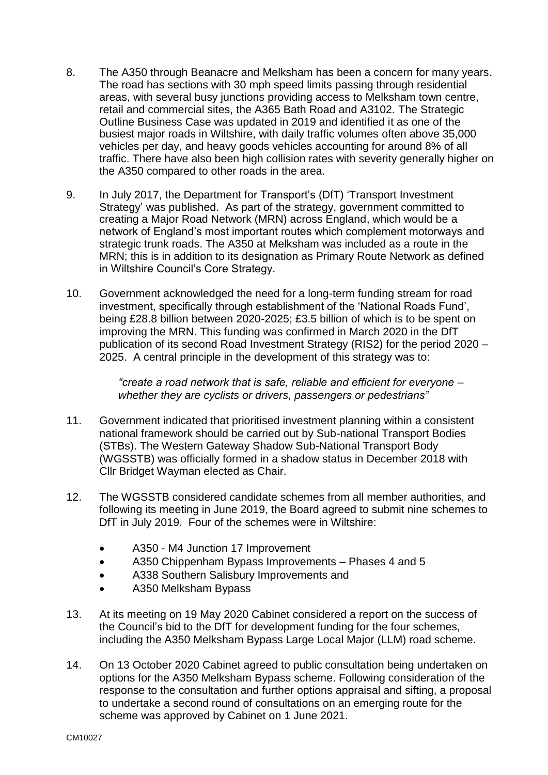- 8. The A350 through Beanacre and Melksham has been a concern for many years. The road has sections with 30 mph speed limits passing through residential areas, with several busy junctions providing access to Melksham town centre, retail and commercial sites, the A365 Bath Road and A3102. The Strategic Outline Business Case was updated in 2019 and identified it as one of the busiest major roads in Wiltshire, with daily traffic volumes often above 35,000 vehicles per day, and heavy goods vehicles accounting for around 8% of all traffic. There have also been high collision rates with severity generally higher on the A350 compared to other roads in the area.
- 9. In July 2017, the Department for Transport's (DfT) 'Transport Investment Strategy' was published. As part of the strategy, government committed to creating a Major Road Network (MRN) across England, which would be a network of England's most important routes which complement motorways and strategic trunk roads. The A350 at Melksham was included as a route in the MRN; this is in addition to its designation as Primary Route Network as defined in Wiltshire Council's Core Strategy.
- 10. Government acknowledged the need for a long-term funding stream for road investment, specifically through establishment of the 'National Roads Fund', being £28.8 billion between 2020-2025; £3.5 billion of which is to be spent on improving the MRN. This funding was confirmed in March 2020 in the DfT publication of its second Road Investment Strategy (RIS2) for the period 2020 – 2025. A central principle in the development of this strategy was to:

*"create a road network that is safe, reliable and efficient for everyone – whether they are cyclists or drivers, passengers or pedestrians"*

- 11. Government indicated that prioritised investment planning within a consistent national framework should be carried out by Sub-national Transport Bodies (STBs). The Western Gateway Shadow Sub-National Transport Body (WGSSTB) was officially formed in a shadow status in December 2018 with Cllr Bridget Wayman elected as Chair.
- 12. The WGSSTB considered candidate schemes from all member authorities, and following its meeting in June 2019, the Board agreed to submit nine schemes to DfT in July 2019. Four of the schemes were in Wiltshire:
	- A350 M4 Junction 17 Improvement
	- A350 Chippenham Bypass Improvements Phases 4 and 5
	- A338 Southern Salisbury Improvements and
	- A350 Melksham Bypass
- 13. At its meeting on 19 May 2020 Cabinet considered a report on the success of the Council's bid to the DfT for development funding for the four schemes, including the A350 Melksham Bypass Large Local Major (LLM) road scheme.
- 14. On 13 October 2020 Cabinet agreed to public consultation being undertaken on options for the A350 Melksham Bypass scheme. Following consideration of the response to the consultation and further options appraisal and sifting, a proposal to undertake a second round of consultations on an emerging route for the scheme was approved by Cabinet on 1 June 2021.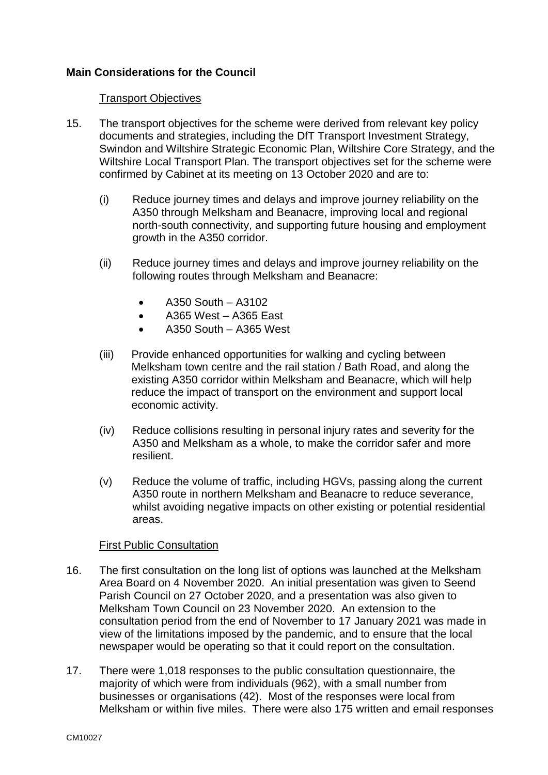# **Main Considerations for the Council**

#### Transport Objectives

- 15. The transport objectives for the scheme were derived from relevant key policy documents and strategies, including the DfT Transport Investment Strategy, Swindon and Wiltshire Strategic Economic Plan, Wiltshire Core Strategy, and the Wiltshire Local Transport Plan. The transport objectives set for the scheme were confirmed by Cabinet at its meeting on 13 October 2020 and are to:
	- (i) Reduce journey times and delays and improve journey reliability on the A350 through Melksham and Beanacre, improving local and regional north-south connectivity, and supporting future housing and employment growth in the A350 corridor.
	- (ii) Reduce journey times and delays and improve journey reliability on the following routes through Melksham and Beanacre:
		- A350 South A3102
		- $\bullet$  A365 West A365 East
		- A350 South A365 West
	- (iii) Provide enhanced opportunities for walking and cycling between Melksham town centre and the rail station / Bath Road, and along the existing A350 corridor within Melksham and Beanacre, which will help reduce the impact of transport on the environment and support local economic activity.
	- (iv) Reduce collisions resulting in personal injury rates and severity for the A350 and Melksham as a whole, to make the corridor safer and more resilient.
	- (v) Reduce the volume of traffic, including HGVs, passing along the current A350 route in northern Melksham and Beanacre to reduce severance, whilst avoiding negative impacts on other existing or potential residential areas.

# First Public Consultation

- 16. The first consultation on the long list of options was launched at the Melksham Area Board on 4 November 2020. An initial presentation was given to Seend Parish Council on 27 October 2020, and a presentation was also given to Melksham Town Council on 23 November 2020. An extension to the consultation period from the end of November to 17 January 2021 was made in view of the limitations imposed by the pandemic, and to ensure that the local newspaper would be operating so that it could report on the consultation.
- 17. There were 1,018 responses to the public consultation questionnaire, the majority of which were from individuals (962), with a small number from businesses or organisations (42). Most of the responses were local from Melksham or within five miles. There were also 175 written and email responses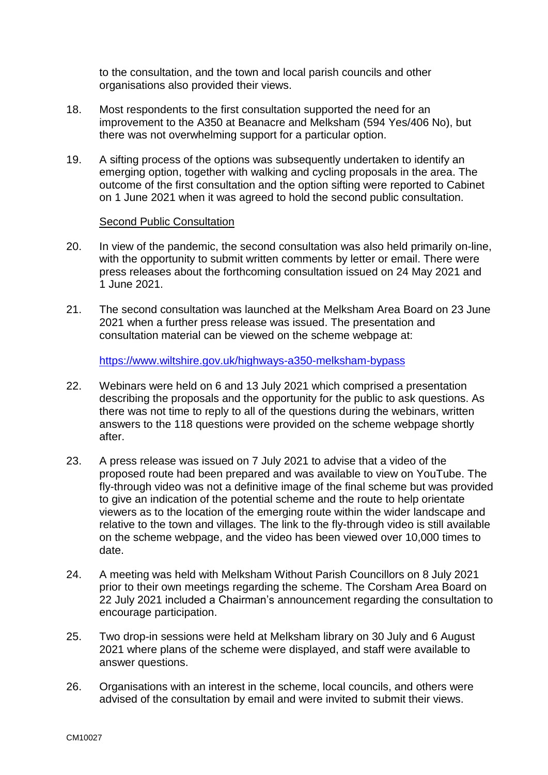to the consultation, and the town and local parish councils and other organisations also provided their views.

- 18. Most respondents to the first consultation supported the need for an improvement to the A350 at Beanacre and Melksham (594 Yes/406 No), but there was not overwhelming support for a particular option.
- 19. A sifting process of the options was subsequently undertaken to identify an emerging option, together with walking and cycling proposals in the area. The outcome of the first consultation and the option sifting were reported to Cabinet on 1 June 2021 when it was agreed to hold the second public consultation.

#### Second Public Consultation

- 20. In view of the pandemic, the second consultation was also held primarily on-line, with the opportunity to submit written comments by letter or email. There were press releases about the forthcoming consultation issued on 24 May 2021 and 1 June 2021.
- 21. The second consultation was launched at the Melksham Area Board on 23 June 2021 when a further press release was issued. The presentation and consultation material can be viewed on the scheme webpage at:

<https://www.wiltshire.gov.uk/highways-a350-melksham-bypass>

- 22. Webinars were held on 6 and 13 July 2021 which comprised a presentation describing the proposals and the opportunity for the public to ask questions. As there was not time to reply to all of the questions during the webinars, written answers to the 118 questions were provided on the scheme webpage shortly after.
- 23. A press release was issued on 7 July 2021 to advise that a video of the proposed route had been prepared and was available to view on YouTube. The fly-through video was not a definitive image of the final scheme but was provided to give an indication of the potential scheme and the route to help orientate viewers as to the location of the emerging route within the wider landscape and relative to the town and villages. The link to the fly-through video is still available on the scheme webpage, and the video has been viewed over 10,000 times to date.
- 24. A meeting was held with Melksham Without Parish Councillors on 8 July 2021 prior to their own meetings regarding the scheme. The Corsham Area Board on 22 July 2021 included a Chairman's announcement regarding the consultation to encourage participation.
- 25. Two drop-in sessions were held at Melksham library on 30 July and 6 August 2021 where plans of the scheme were displayed, and staff were available to answer questions.
- 26. Organisations with an interest in the scheme, local councils, and others were advised of the consultation by email and were invited to submit their views.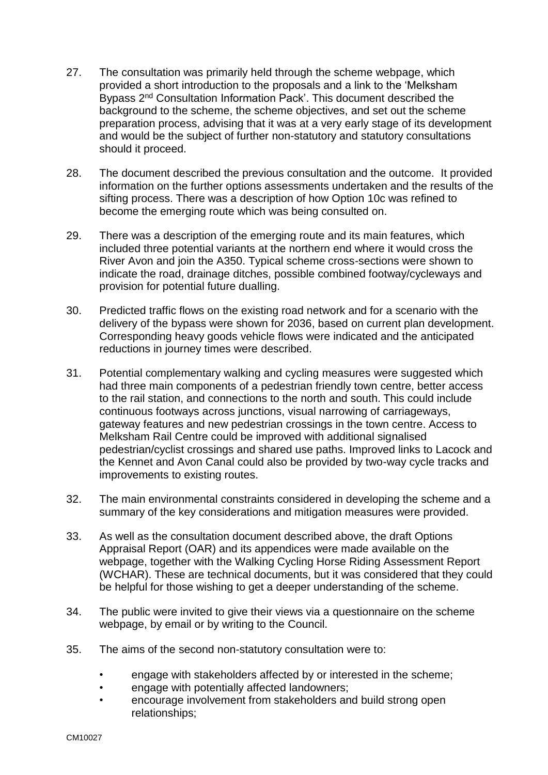- 27. The consultation was primarily held through the scheme webpage, which provided a short introduction to the proposals and a link to the 'Melksham Bypass 2<sup>nd</sup> Consultation Information Pack'. This document described the background to the scheme, the scheme objectives, and set out the scheme preparation process, advising that it was at a very early stage of its development and would be the subject of further non-statutory and statutory consultations should it proceed.
- 28. The document described the previous consultation and the outcome. It provided information on the further options assessments undertaken and the results of the sifting process. There was a description of how Option 10c was refined to become the emerging route which was being consulted on.
- 29. There was a description of the emerging route and its main features, which included three potential variants at the northern end where it would cross the River Avon and join the A350. Typical scheme cross-sections were shown to indicate the road, drainage ditches, possible combined footway/cycleways and provision for potential future dualling.
- 30. Predicted traffic flows on the existing road network and for a scenario with the delivery of the bypass were shown for 2036, based on current plan development. Corresponding heavy goods vehicle flows were indicated and the anticipated reductions in journey times were described.
- 31. Potential complementary walking and cycling measures were suggested which had three main components of a pedestrian friendly town centre, better access to the rail station, and connections to the north and south. This could include continuous footways across junctions, visual narrowing of carriageways, gateway features and new pedestrian crossings in the town centre. Access to Melksham Rail Centre could be improved with additional signalised pedestrian/cyclist crossings and shared use paths. Improved links to Lacock and the Kennet and Avon Canal could also be provided by two-way cycle tracks and improvements to existing routes.
- 32. The main environmental constraints considered in developing the scheme and a summary of the key considerations and mitigation measures were provided.
- 33. As well as the consultation document described above, the draft Options Appraisal Report (OAR) and its appendices were made available on the webpage, together with the Walking Cycling Horse Riding Assessment Report (WCHAR). These are technical documents, but it was considered that they could be helpful for those wishing to get a deeper understanding of the scheme.
- 34. The public were invited to give their views via a questionnaire on the scheme webpage, by email or by writing to the Council.
- 35. The aims of the second non-statutory consultation were to:
	- engage with stakeholders affected by or interested in the scheme;
	- engage with potentially affected landowners;
	- encourage involvement from stakeholders and build strong open relationships;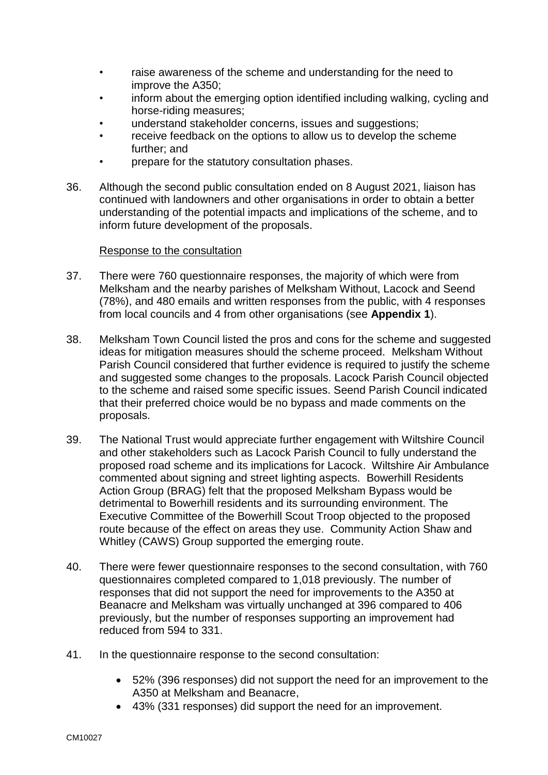- raise awareness of the scheme and understanding for the need to improve the A350;
- inform about the emerging option identified including walking, cycling and horse-riding measures;
- understand stakeholder concerns, issues and suggestions;
- receive feedback on the options to allow us to develop the scheme further; and
- prepare for the statutory consultation phases.
- 36. Although the second public consultation ended on 8 August 2021, liaison has continued with landowners and other organisations in order to obtain a better understanding of the potential impacts and implications of the scheme, and to inform future development of the proposals.

#### Response to the consultation

- 37. There were 760 questionnaire responses, the majority of which were from Melksham and the nearby parishes of Melksham Without, Lacock and Seend (78%), and 480 emails and written responses from the public, with 4 responses from local councils and 4 from other organisations (see **Appendix 1**).
- 38. Melksham Town Council listed the pros and cons for the scheme and suggested ideas for mitigation measures should the scheme proceed. Melksham Without Parish Council considered that further evidence is required to justify the scheme and suggested some changes to the proposals. Lacock Parish Council objected to the scheme and raised some specific issues. Seend Parish Council indicated that their preferred choice would be no bypass and made comments on the proposals.
- 39. The National Trust would appreciate further engagement with Wiltshire Council and other stakeholders such as Lacock Parish Council to fully understand the proposed road scheme and its implications for Lacock. Wiltshire Air Ambulance commented about signing and street lighting aspects. Bowerhill Residents Action Group (BRAG) felt that the proposed Melksham Bypass would be detrimental to Bowerhill residents and its surrounding environment. The Executive Committee of the Bowerhill Scout Troop objected to the proposed route because of the effect on areas they use. Community Action Shaw and Whitley (CAWS) Group supported the emerging route.
- 40. There were fewer questionnaire responses to the second consultation, with 760 questionnaires completed compared to 1,018 previously. The number of responses that did not support the need for improvements to the A350 at Beanacre and Melksham was virtually unchanged at 396 compared to 406 previously, but the number of responses supporting an improvement had reduced from 594 to 331.
- 41. In the questionnaire response to the second consultation:
	- 52% (396 responses) did not support the need for an improvement to the A350 at Melksham and Beanacre,
	- 43% (331 responses) did support the need for an improvement.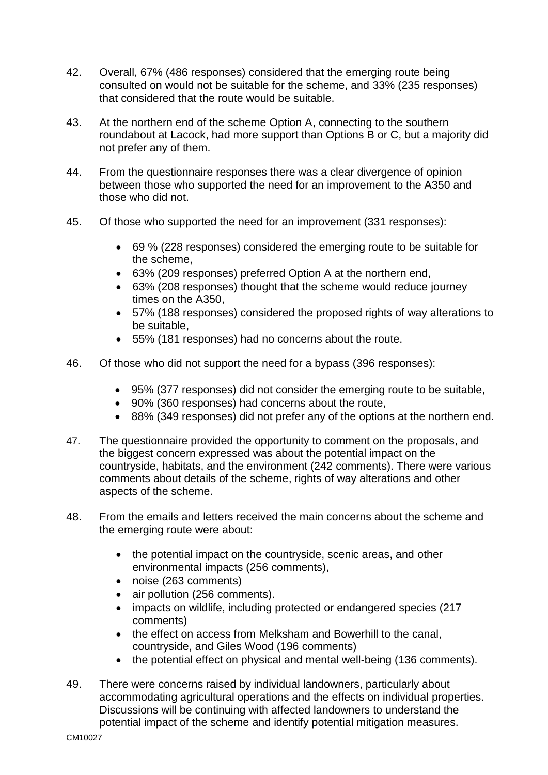- 42. Overall, 67% (486 responses) considered that the emerging route being consulted on would not be suitable for the scheme, and 33% (235 responses) that considered that the route would be suitable.
- 43. At the northern end of the scheme Option A, connecting to the southern roundabout at Lacock, had more support than Options B or C, but a majority did not prefer any of them.
- 44. From the questionnaire responses there was a clear divergence of opinion between those who supported the need for an improvement to the A350 and those who did not.
- 45. Of those who supported the need for an improvement (331 responses):
	- 69 % (228 responses) considered the emerging route to be suitable for the scheme,
	- 63% (209 responses) preferred Option A at the northern end,
	- 63% (208 responses) thought that the scheme would reduce journey times on the A350,
	- 57% (188 responses) considered the proposed rights of way alterations to be suitable,
	- 55% (181 responses) had no concerns about the route.
- 46. Of those who did not support the need for a bypass (396 responses):
	- 95% (377 responses) did not consider the emerging route to be suitable,
	- 90% (360 responses) had concerns about the route,
	- 88% (349 responses) did not prefer any of the options at the northern end.
- 47. The questionnaire provided the opportunity to comment on the proposals, and the biggest concern expressed was about the potential impact on the countryside, habitats, and the environment (242 comments). There were various comments about details of the scheme, rights of way alterations and other aspects of the scheme.
- 48. From the emails and letters received the main concerns about the scheme and the emerging route were about:
	- the potential impact on the countryside, scenic areas, and other environmental impacts (256 comments),
	- noise (263 comments)
	- air pollution (256 comments).
	- impacts on wildlife, including protected or endangered species (217 comments)
	- the effect on access from Melksham and Bowerhill to the canal, countryside, and Giles Wood (196 comments)
	- the potential effect on physical and mental well-being (136 comments).
- 49. There were concerns raised by individual landowners, particularly about accommodating agricultural operations and the effects on individual properties. Discussions will be continuing with affected landowners to understand the potential impact of the scheme and identify potential mitigation measures.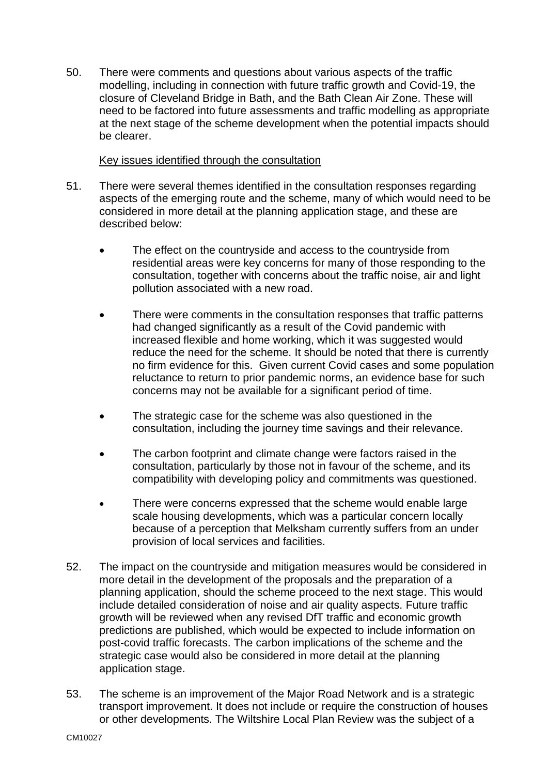50. There were comments and questions about various aspects of the traffic modelling, including in connection with future traffic growth and Covid-19, the closure of Cleveland Bridge in Bath, and the Bath Clean Air Zone. These will need to be factored into future assessments and traffic modelling as appropriate at the next stage of the scheme development when the potential impacts should be clearer.

#### Key issues identified through the consultation

- 51. There were several themes identified in the consultation responses regarding aspects of the emerging route and the scheme, many of which would need to be considered in more detail at the planning application stage, and these are described below:
	- The effect on the countryside and access to the countryside from residential areas were key concerns for many of those responding to the consultation, together with concerns about the traffic noise, air and light pollution associated with a new road.
	- There were comments in the consultation responses that traffic patterns had changed significantly as a result of the Covid pandemic with increased flexible and home working, which it was suggested would reduce the need for the scheme. It should be noted that there is currently no firm evidence for this. Given current Covid cases and some population reluctance to return to prior pandemic norms, an evidence base for such concerns may not be available for a significant period of time.
	- The strategic case for the scheme was also questioned in the consultation, including the journey time savings and their relevance.
	- The carbon footprint and climate change were factors raised in the consultation, particularly by those not in favour of the scheme, and its compatibility with developing policy and commitments was questioned.
	- There were concerns expressed that the scheme would enable large scale housing developments, which was a particular concern locally because of a perception that Melksham currently suffers from an under provision of local services and facilities.
- 52. The impact on the countryside and mitigation measures would be considered in more detail in the development of the proposals and the preparation of a planning application, should the scheme proceed to the next stage. This would include detailed consideration of noise and air quality aspects. Future traffic growth will be reviewed when any revised DfT traffic and economic growth predictions are published, which would be expected to include information on post-covid traffic forecasts. The carbon implications of the scheme and the strategic case would also be considered in more detail at the planning application stage.
- 53. The scheme is an improvement of the Major Road Network and is a strategic transport improvement. It does not include or require the construction of houses or other developments. The Wiltshire Local Plan Review was the subject of a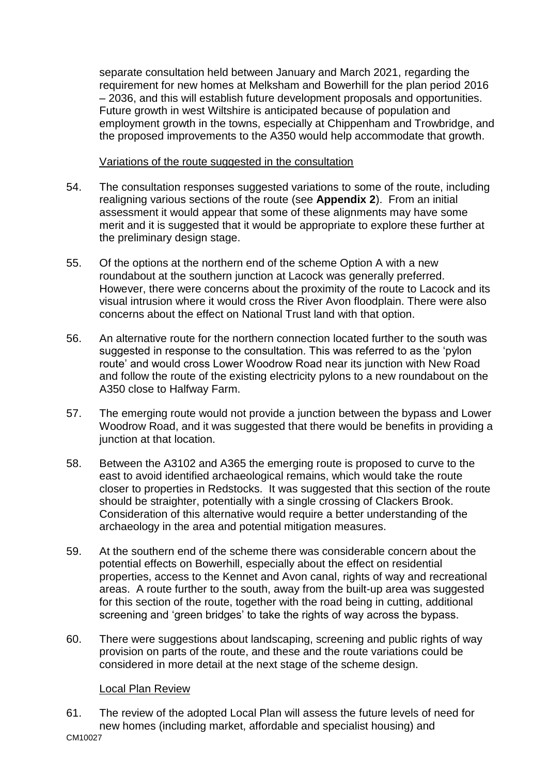separate consultation held between January and March 2021, regarding the requirement for new homes at Melksham and Bowerhill for the plan period 2016 – 2036, and this will establish future development proposals and opportunities. Future growth in west Wiltshire is anticipated because of population and employment growth in the towns, especially at Chippenham and Trowbridge, and the proposed improvements to the A350 would help accommodate that growth.

Variations of the route suggested in the consultation

- 54. The consultation responses suggested variations to some of the route, including realigning various sections of the route (see **Appendix 2**). From an initial assessment it would appear that some of these alignments may have some merit and it is suggested that it would be appropriate to explore these further at the preliminary design stage.
- 55. Of the options at the northern end of the scheme Option A with a new roundabout at the southern junction at Lacock was generally preferred. However, there were concerns about the proximity of the route to Lacock and its visual intrusion where it would cross the River Avon floodplain. There were also concerns about the effect on National Trust land with that option.
- 56. An alternative route for the northern connection located further to the south was suggested in response to the consultation. This was referred to as the 'pylon route' and would cross Lower Woodrow Road near its junction with New Road and follow the route of the existing electricity pylons to a new roundabout on the A350 close to Halfway Farm.
- 57. The emerging route would not provide a junction between the bypass and Lower Woodrow Road, and it was suggested that there would be benefits in providing a junction at that location.
- 58. Between the A3102 and A365 the emerging route is proposed to curve to the east to avoid identified archaeological remains, which would take the route closer to properties in Redstocks. It was suggested that this section of the route should be straighter, potentially with a single crossing of Clackers Brook. Consideration of this alternative would require a better understanding of the archaeology in the area and potential mitigation measures.
- 59. At the southern end of the scheme there was considerable concern about the potential effects on Bowerhill, especially about the effect on residential properties, access to the Kennet and Avon canal, rights of way and recreational areas. A route further to the south, away from the built-up area was suggested for this section of the route, together with the road being in cutting, additional screening and 'green bridges' to take the rights of way across the bypass.
- 60. There were suggestions about landscaping, screening and public rights of way provision on parts of the route, and these and the route variations could be considered in more detail at the next stage of the scheme design.

# Local Plan Review

CM10027 61. The review of the adopted Local Plan will assess the future levels of need for new homes (including market, affordable and specialist housing) and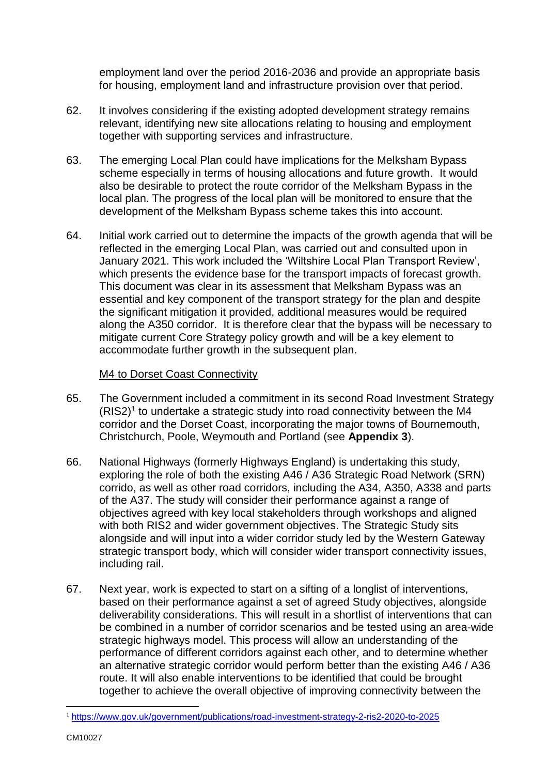employment land over the period 2016-2036 and provide an appropriate basis for housing, employment land and infrastructure provision over that period.

- 62. It involves considering if the existing adopted development strategy remains relevant, identifying new site allocations relating to housing and employment together with supporting services and infrastructure.
- 63. The emerging Local Plan could have implications for the Melksham Bypass scheme especially in terms of housing allocations and future growth. It would also be desirable to protect the route corridor of the Melksham Bypass in the local plan. The progress of the local plan will be monitored to ensure that the development of the Melksham Bypass scheme takes this into account.
- 64. Initial work carried out to determine the impacts of the growth agenda that will be reflected in the emerging Local Plan, was carried out and consulted upon in January 2021. This work included the 'Wiltshire Local Plan Transport Review', which presents the evidence base for the transport impacts of forecast growth. This document was clear in its assessment that Melksham Bypass was an essential and key component of the transport strategy for the plan and despite the significant mitigation it provided, additional measures would be required along the A350 corridor. It is therefore clear that the bypass will be necessary to mitigate current Core Strategy policy growth and will be a key element to accommodate further growth in the subsequent plan.

# M4 to Dorset Coast Connectivity

- 65. The Government included a commitment in its second Road Investment Strategy (RIS2)<sup>1</sup> to undertake a strategic study into road connectivity between the M4 corridor and the Dorset Coast, incorporating the major towns of Bournemouth, Christchurch, Poole, Weymouth and Portland (see **Appendix 3**).
- 66. National Highways (formerly Highways England) is undertaking this study, exploring the role of both the existing A46 / A36 Strategic Road Network (SRN) corrido, as well as other road corridors, including the A34, A350, A338 and parts of the A37. The study will consider their performance against a range of objectives agreed with key local stakeholders through workshops and aligned with both RIS2 and wider government objectives. The Strategic Study sits alongside and will input into a wider corridor study led by the Western Gateway strategic transport body, which will consider wider transport connectivity issues, including rail.
- 67. Next year, work is expected to start on a sifting of a longlist of interventions, based on their performance against a set of agreed Study objectives, alongside deliverability considerations. This will result in a shortlist of interventions that can be combined in a number of corridor scenarios and be tested using an area-wide strategic highways model. This process will allow an understanding of the performance of different corridors against each other, and to determine whether an alternative strategic corridor would perform better than the existing A46 / A36 route. It will also enable interventions to be identified that could be brought together to achieve the overall objective of improving connectivity between the

<u>.</u>

<sup>1</sup> <https://www.gov.uk/government/publications/road-investment-strategy-2-ris2-2020-to-2025>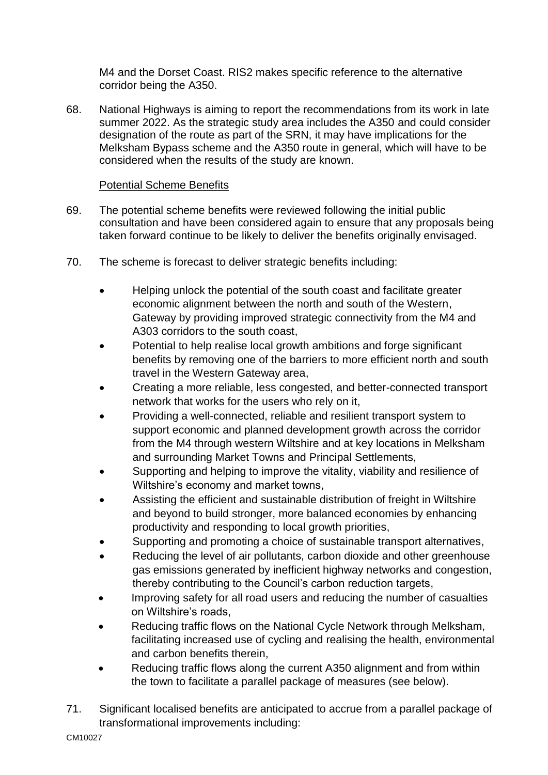M4 and the Dorset Coast. RIS2 makes specific reference to the alternative corridor being the A350.

68. National Highways is aiming to report the recommendations from its work in late summer 2022. As the strategic study area includes the A350 and could consider designation of the route as part of the SRN, it may have implications for the Melksham Bypass scheme and the A350 route in general, which will have to be considered when the results of the study are known.

# Potential Scheme Benefits

- 69. The potential scheme benefits were reviewed following the initial public consultation and have been considered again to ensure that any proposals being taken forward continue to be likely to deliver the benefits originally envisaged.
- 70. The scheme is forecast to deliver strategic benefits including:
	- Helping unlock the potential of the south coast and facilitate greater economic alignment between the north and south of the Western, Gateway by providing improved strategic connectivity from the M4 and A303 corridors to the south coast,
	- Potential to help realise local growth ambitions and forge significant benefits by removing one of the barriers to more efficient north and south travel in the Western Gateway area,
	- Creating a more reliable, less congested, and better-connected transport network that works for the users who rely on it,
	- Providing a well-connected, reliable and resilient transport system to support economic and planned development growth across the corridor from the M4 through western Wiltshire and at key locations in Melksham and surrounding Market Towns and Principal Settlements,
	- Supporting and helping to improve the vitality, viability and resilience of Wiltshire's economy and market towns,
	- Assisting the efficient and sustainable distribution of freight in Wiltshire and beyond to build stronger, more balanced economies by enhancing productivity and responding to local growth priorities,
	- Supporting and promoting a choice of sustainable transport alternatives,
	- Reducing the level of air pollutants, carbon dioxide and other greenhouse gas emissions generated by inefficient highway networks and congestion, thereby contributing to the Council's carbon reduction targets,
	- Improving safety for all road users and reducing the number of casualties on Wiltshire's roads,
	- Reducing traffic flows on the National Cycle Network through Melksham, facilitating increased use of cycling and realising the health, environmental and carbon benefits therein,
	- Reducing traffic flows along the current A350 alignment and from within the town to facilitate a parallel package of measures (see below).
- 71. Significant localised benefits are anticipated to accrue from a parallel package of transformational improvements including: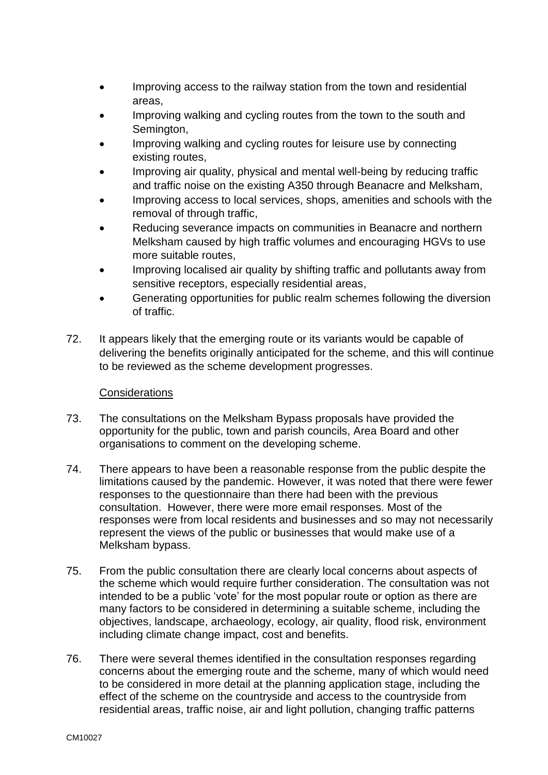- Improving access to the railway station from the town and residential areas,
- Improving walking and cycling routes from the town to the south and Semington,
- Improving walking and cycling routes for leisure use by connecting existing routes,
- Improving air quality, physical and mental well-being by reducing traffic and traffic noise on the existing A350 through Beanacre and Melksham,
- Improving access to local services, shops, amenities and schools with the removal of through traffic,
- Reducing severance impacts on communities in Beanacre and northern Melksham caused by high traffic volumes and encouraging HGVs to use more suitable routes,
- Improving localised air quality by shifting traffic and pollutants away from sensitive receptors, especially residential areas,
- Generating opportunities for public realm schemes following the diversion of traffic.
- 72. It appears likely that the emerging route or its variants would be capable of delivering the benefits originally anticipated for the scheme, and this will continue to be reviewed as the scheme development progresses.

# **Considerations**

- 73. The consultations on the Melksham Bypass proposals have provided the opportunity for the public, town and parish councils, Area Board and other organisations to comment on the developing scheme.
- 74. There appears to have been a reasonable response from the public despite the limitations caused by the pandemic. However, it was noted that there were fewer responses to the questionnaire than there had been with the previous consultation. However, there were more email responses. Most of the responses were from local residents and businesses and so may not necessarily represent the views of the public or businesses that would make use of a Melksham bypass.
- 75. From the public consultation there are clearly local concerns about aspects of the scheme which would require further consideration. The consultation was not intended to be a public 'vote' for the most popular route or option as there are many factors to be considered in determining a suitable scheme, including the objectives, landscape, archaeology, ecology, air quality, flood risk, environment including climate change impact, cost and benefits.
- 76. There were several themes identified in the consultation responses regarding concerns about the emerging route and the scheme, many of which would need to be considered in more detail at the planning application stage, including the effect of the scheme on the countryside and access to the countryside from residential areas, traffic noise, air and light pollution, changing traffic patterns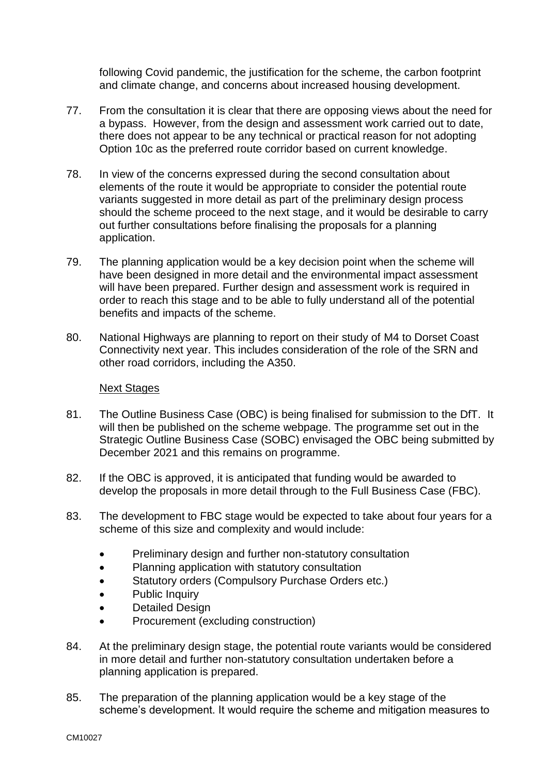following Covid pandemic, the justification for the scheme, the carbon footprint and climate change, and concerns about increased housing development.

- 77. From the consultation it is clear that there are opposing views about the need for a bypass. However, from the design and assessment work carried out to date, there does not appear to be any technical or practical reason for not adopting Option 10c as the preferred route corridor based on current knowledge.
- 78. In view of the concerns expressed during the second consultation about elements of the route it would be appropriate to consider the potential route variants suggested in more detail as part of the preliminary design process should the scheme proceed to the next stage, and it would be desirable to carry out further consultations before finalising the proposals for a planning application.
- 79. The planning application would be a key decision point when the scheme will have been designed in more detail and the environmental impact assessment will have been prepared. Further design and assessment work is required in order to reach this stage and to be able to fully understand all of the potential benefits and impacts of the scheme.
- 80. National Highways are planning to report on their study of M4 to Dorset Coast Connectivity next year. This includes consideration of the role of the SRN and other road corridors, including the A350.

#### Next Stages

- 81. The Outline Business Case (OBC) is being finalised for submission to the DfT. It will then be published on the scheme webpage. The programme set out in the Strategic Outline Business Case (SOBC) envisaged the OBC being submitted by December 2021 and this remains on programme.
- 82. If the OBC is approved, it is anticipated that funding would be awarded to develop the proposals in more detail through to the Full Business Case (FBC).
- 83. The development to FBC stage would be expected to take about four years for a scheme of this size and complexity and would include:
	- Preliminary design and further non-statutory consultation
	- Planning application with statutory consultation
	- Statutory orders (Compulsory Purchase Orders etc.)
	- Public Inquiry
	- Detailed Design
	- Procurement (excluding construction)
- 84. At the preliminary design stage, the potential route variants would be considered in more detail and further non-statutory consultation undertaken before a planning application is prepared.
- 85. The preparation of the planning application would be a key stage of the scheme's development. It would require the scheme and mitigation measures to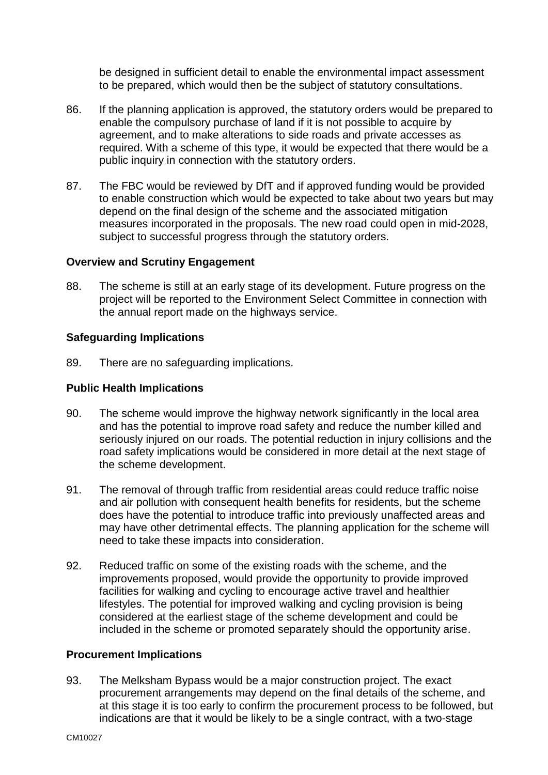be designed in sufficient detail to enable the environmental impact assessment to be prepared, which would then be the subject of statutory consultations.

- 86. If the planning application is approved, the statutory orders would be prepared to enable the compulsory purchase of land if it is not possible to acquire by agreement, and to make alterations to side roads and private accesses as required. With a scheme of this type, it would be expected that there would be a public inquiry in connection with the statutory orders.
- 87. The FBC would be reviewed by DfT and if approved funding would be provided to enable construction which would be expected to take about two years but may depend on the final design of the scheme and the associated mitigation measures incorporated in the proposals. The new road could open in mid-2028, subject to successful progress through the statutory orders.

#### **Overview and Scrutiny Engagement**

88. The scheme is still at an early stage of its development. Future progress on the project will be reported to the Environment Select Committee in connection with the annual report made on the highways service.

# **Safeguarding Implications**

89. There are no safeguarding implications.

### **Public Health Implications**

- 90. The scheme would improve the highway network significantly in the local area and has the potential to improve road safety and reduce the number killed and seriously injured on our roads. The potential reduction in injury collisions and the road safety implications would be considered in more detail at the next stage of the scheme development.
- 91. The removal of through traffic from residential areas could reduce traffic noise and air pollution with consequent health benefits for residents, but the scheme does have the potential to introduce traffic into previously unaffected areas and may have other detrimental effects. The planning application for the scheme will need to take these impacts into consideration.
- 92. Reduced traffic on some of the existing roads with the scheme, and the improvements proposed, would provide the opportunity to provide improved facilities for walking and cycling to encourage active travel and healthier lifestyles. The potential for improved walking and cycling provision is being considered at the earliest stage of the scheme development and could be included in the scheme or promoted separately should the opportunity arise.

#### **Procurement Implications**

93. The Melksham Bypass would be a major construction project. The exact procurement arrangements may depend on the final details of the scheme, and at this stage it is too early to confirm the procurement process to be followed, but indications are that it would be likely to be a single contract, with a two-stage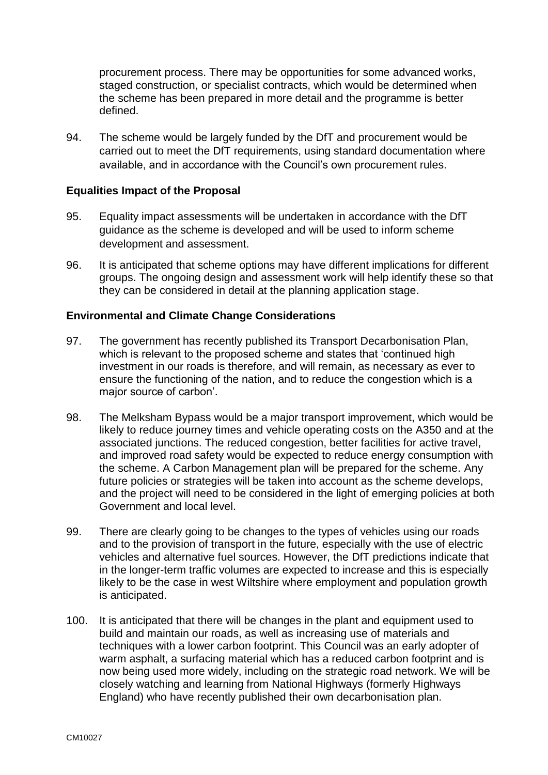procurement process. There may be opportunities for some advanced works, staged construction, or specialist contracts, which would be determined when the scheme has been prepared in more detail and the programme is better defined.

94. The scheme would be largely funded by the DfT and procurement would be carried out to meet the DfT requirements, using standard documentation where available, and in accordance with the Council's own procurement rules.

# **Equalities Impact of the Proposal**

- 95. Equality impact assessments will be undertaken in accordance with the DfT guidance as the scheme is developed and will be used to inform scheme development and assessment.
- 96. It is anticipated that scheme options may have different implications for different groups. The ongoing design and assessment work will help identify these so that they can be considered in detail at the planning application stage.

# **Environmental and Climate Change Considerations**

- 97. The government has recently published its Transport Decarbonisation Plan, which is relevant to the proposed scheme and states that 'continued high investment in our roads is therefore, and will remain, as necessary as ever to ensure the functioning of the nation, and to reduce the congestion which is a major source of carbon'.
- 98. The Melksham Bypass would be a major transport improvement, which would be likely to reduce journey times and vehicle operating costs on the A350 and at the associated junctions. The reduced congestion, better facilities for active travel, and improved road safety would be expected to reduce energy consumption with the scheme. A Carbon Management plan will be prepared for the scheme. Any future policies or strategies will be taken into account as the scheme develops. and the project will need to be considered in the light of emerging policies at both Government and local level.
- 99. There are clearly going to be changes to the types of vehicles using our roads and to the provision of transport in the future, especially with the use of electric vehicles and alternative fuel sources. However, the DfT predictions indicate that in the longer-term traffic volumes are expected to increase and this is especially likely to be the case in west Wiltshire where employment and population growth is anticipated.
- 100. It is anticipated that there will be changes in the plant and equipment used to build and maintain our roads, as well as increasing use of materials and techniques with a lower carbon footprint. This Council was an early adopter of warm asphalt, a surfacing material which has a reduced carbon footprint and is now being used more widely, including on the strategic road network. We will be closely watching and learning from National Highways (formerly Highways England) who have recently published their own decarbonisation plan.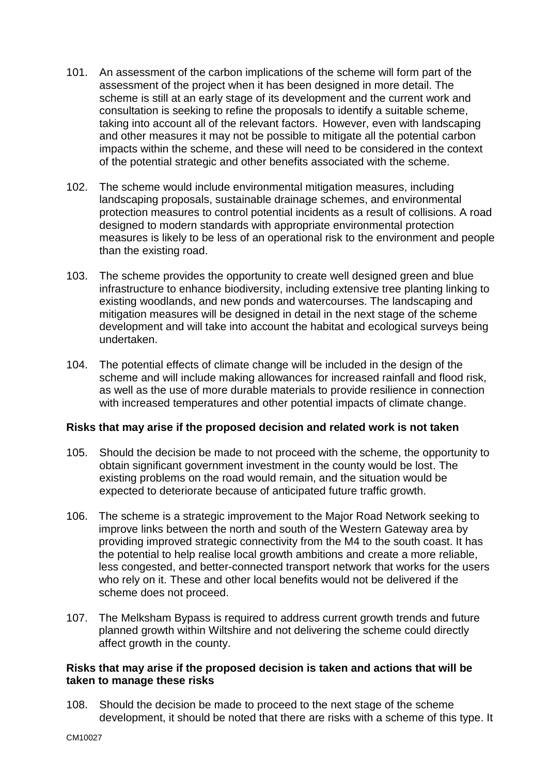- 101. An assessment of the carbon implications of the scheme will form part of the assessment of the project when it has been designed in more detail. The scheme is still at an early stage of its development and the current work and consultation is seeking to refine the proposals to identify a suitable scheme, taking into account all of the relevant factors. However, even with landscaping and other measures it may not be possible to mitigate all the potential carbon impacts within the scheme, and these will need to be considered in the context of the potential strategic and other benefits associated with the scheme.
- 102. The scheme would include environmental mitigation measures, including landscaping proposals, sustainable drainage schemes, and environmental protection measures to control potential incidents as a result of collisions. A road designed to modern standards with appropriate environmental protection measures is likely to be less of an operational risk to the environment and people than the existing road.
- 103. The scheme provides the opportunity to create well designed green and blue infrastructure to enhance biodiversity, including extensive tree planting linking to existing woodlands, and new ponds and watercourses. The landscaping and mitigation measures will be designed in detail in the next stage of the scheme development and will take into account the habitat and ecological surveys being undertaken.
- 104. The potential effects of climate change will be included in the design of the scheme and will include making allowances for increased rainfall and flood risk, as well as the use of more durable materials to provide resilience in connection with increased temperatures and other potential impacts of climate change.

# **Risks that may arise if the proposed decision and related work is not taken**

- 105. Should the decision be made to not proceed with the scheme, the opportunity to obtain significant government investment in the county would be lost. The existing problems on the road would remain, and the situation would be expected to deteriorate because of anticipated future traffic growth.
- 106. The scheme is a strategic improvement to the Major Road Network seeking to improve links between the north and south of the Western Gateway area by providing improved strategic connectivity from the M4 to the south coast. It has the potential to help realise local growth ambitions and create a more reliable, less congested, and better-connected transport network that works for the users who rely on it. These and other local benefits would not be delivered if the scheme does not proceed.
- 107. The Melksham Bypass is required to address current growth trends and future planned growth within Wiltshire and not delivering the scheme could directly affect growth in the county.

#### **Risks that may arise if the proposed decision is taken and actions that will be taken to manage these risks**

108. Should the decision be made to proceed to the next stage of the scheme development, it should be noted that there are risks with a scheme of this type. It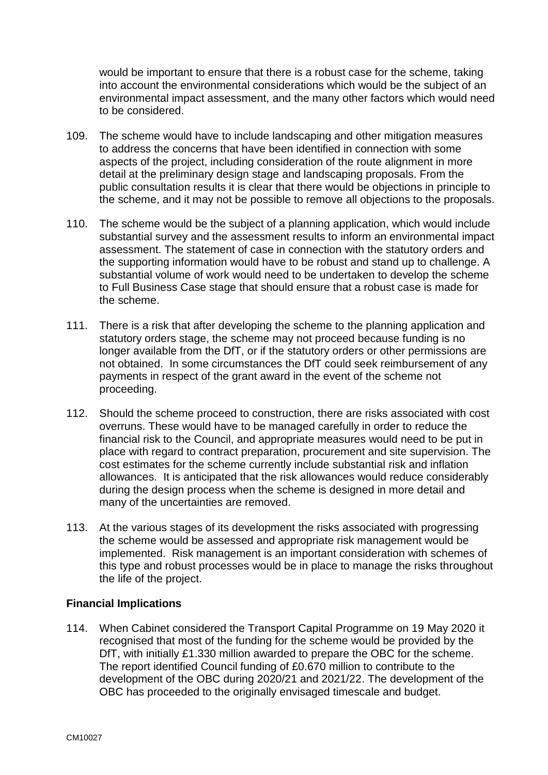would be important to ensure that there is a robust case for the scheme, taking into account the environmental considerations which would be the subject of an environmental impact assessment, and the many other factors which would need to be considered.

- 109. The scheme would have to include landscaping and other mitigation measures to address the concerns that have been identified in connection with some aspects of the project, including consideration of the route alignment in more detail at the preliminary design stage and landscaping proposals. From the public consultation results it is clear that there would be objections in principle to the scheme, and it may not be possible to remove all objections to the proposals.
- 110. The scheme would be the subject of a planning application, which would include substantial survey and the assessment results to inform an environmental impact assessment. The statement of case in connection with the statutory orders and the supporting information would have to be robust and stand up to challenge. A substantial volume of work would need to be undertaken to develop the scheme to Full Business Case stage that should ensure that a robust case is made for the scheme.
- 111. There is a risk that after developing the scheme to the planning application and statutory orders stage, the scheme may not proceed because funding is no longer available from the DfT, or if the statutory orders or other permissions are not obtained. In some circumstances the DfT could seek reimbursement of any payments in respect of the grant award in the event of the scheme not proceeding.
- 112. Should the scheme proceed to construction, there are risks associated with cost overruns. These would have to be managed carefully in order to reduce the financial risk to the Council, and appropriate measures would need to be put in place with regard to contract preparation, procurement and site supervision. The cost estimates for the scheme currently include substantial risk and inflation allowances. It is anticipated that the risk allowances would reduce considerably during the design process when the scheme is designed in more detail and many of the uncertainties are removed.
- 113. At the various stages of its development the risks associated with progressing the scheme would be assessed and appropriate risk management would be implemented. Risk management is an important consideration with schemes of this type and robust processes would be in place to manage the risks throughout the life of the project.

# **Financial Implications**

114. When Cabinet considered the Transport Capital Programme on 19 May 2020 it recognised that most of the funding for the scheme would be provided by the DfT, with initially £1.330 million awarded to prepare the OBC for the scheme. The report identified Council funding of £0.670 million to contribute to the development of the OBC during 2020/21 and 2021/22. The development of the OBC has proceeded to the originally envisaged timescale and budget.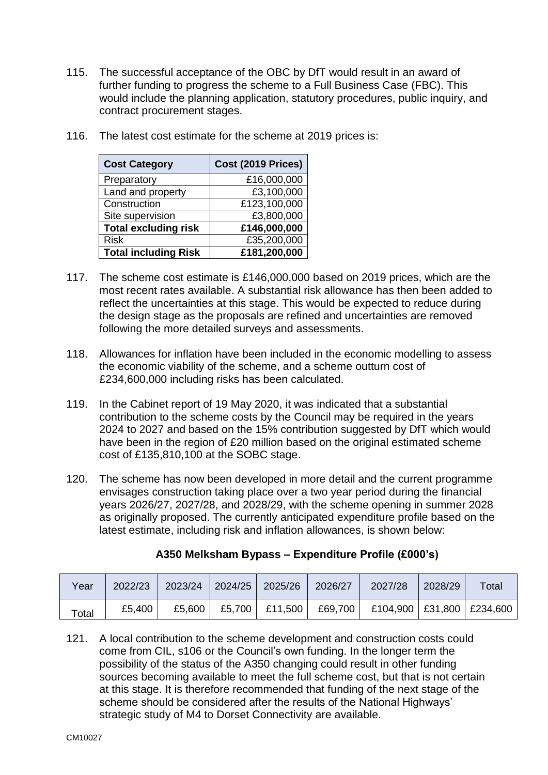115. The successful acceptance of the OBC by DfT would result in an award of further funding to progress the scheme to a Full Business Case (FBC). This would include the planning application, statutory procedures, public inquiry, and contract procurement stages.

| <b>Cost Category</b>        | Cost (2019 Prices) |
|-----------------------------|--------------------|
| Preparatory                 | £16,000,000        |
| Land and property           | £3,100,000         |
| Construction                | £123,100,000       |
| Site supervision            | £3,800,000         |
| <b>Total excluding risk</b> | £146,000,000       |
| <b>Risk</b>                 | £35,200,000        |
| <b>Total including Risk</b> | £181,200,000       |

116. The latest cost estimate for the scheme at 2019 prices is:

- 117. The scheme cost estimate is £146,000,000 based on 2019 prices, which are the most recent rates available. A substantial risk allowance has then been added to reflect the uncertainties at this stage. This would be expected to reduce during the design stage as the proposals are refined and uncertainties are removed following the more detailed surveys and assessments.
- 118. Allowances for inflation have been included in the economic modelling to assess the economic viability of the scheme, and a scheme outturn cost of £234,600,000 including risks has been calculated.
- 119. In the Cabinet report of 19 May 2020, it was indicated that a substantial contribution to the scheme costs by the Council may be required in the years 2024 to 2027 and based on the 15% contribution suggested by DfT which would have been in the region of £20 million based on the original estimated scheme cost of £135,810,100 at the SOBC stage.
- 120. The scheme has now been developed in more detail and the current programme envisages construction taking place over a two year period during the financial years 2026/27, 2027/28, and 2028/29, with the scheme opening in summer 2028 as originally proposed. The currently anticipated expenditure profile based on the latest estimate, including risk and inflation allowances, is shown below:

| Year  | 2022/23 | 2023/24 | $\vert$ 2024/25 $\vert$ 2025/26 | 2026/27                             | 2027/28                       | 2028/29 | Total |
|-------|---------|---------|---------------------------------|-------------------------------------|-------------------------------|---------|-------|
| Total | £5.400  |         |                                 | £5,600   £5,700   £11,500   £69,700 | £104,900   £31,800   £234,600 |         |       |

# **A350 Melksham Bypass – Expenditure Profile (£000's)**

121. A local contribution to the scheme development and construction costs could come from CIL, s106 or the Council's own funding. In the longer term the possibility of the status of the A350 changing could result in other funding sources becoming available to meet the full scheme cost, but that is not certain at this stage. It is therefore recommended that funding of the next stage of the scheme should be considered after the results of the National Highways' strategic study of M4 to Dorset Connectivity are available.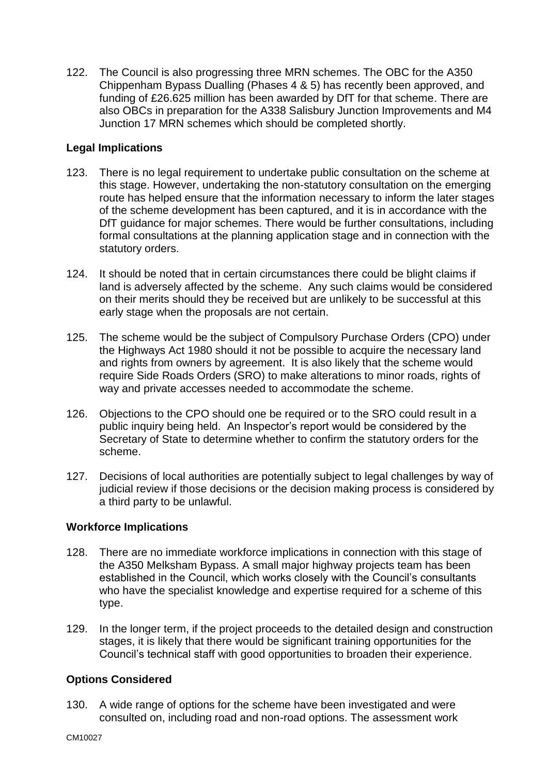122. The Council is also progressing three MRN schemes. The OBC for the A350 Chippenham Bypass Dualling (Phases 4 & 5) has recently been approved, and funding of £26.625 million has been awarded by DfT for that scheme. There are also OBCs in preparation for the A338 Salisbury Junction Improvements and M4 Junction 17 MRN schemes which should be completed shortly.

# **Legal Implications**

- 123. There is no legal requirement to undertake public consultation on the scheme at this stage. However, undertaking the non-statutory consultation on the emerging route has helped ensure that the information necessary to inform the later stages of the scheme development has been captured, and it is in accordance with the DfT guidance for major schemes. There would be further consultations, including formal consultations at the planning application stage and in connection with the statutory orders.
- 124. It should be noted that in certain circumstances there could be blight claims if land is adversely affected by the scheme. Any such claims would be considered on their merits should they be received but are unlikely to be successful at this early stage when the proposals are not certain.
- 125. The scheme would be the subject of Compulsory Purchase Orders (CPO) under the Highways Act 1980 should it not be possible to acquire the necessary land and rights from owners by agreement. It is also likely that the scheme would require Side Roads Orders (SRO) to make alterations to minor roads, rights of way and private accesses needed to accommodate the scheme.
- 126. Objections to the CPO should one be required or to the SRO could result in a public inquiry being held. An Inspector's report would be considered by the Secretary of State to determine whether to confirm the statutory orders for the scheme.
- 127. Decisions of local authorities are potentially subject to legal challenges by way of judicial review if those decisions or the decision making process is considered by a third party to be unlawful.

# **Workforce Implications**

- 128. There are no immediate workforce implications in connection with this stage of the A350 Melksham Bypass. A small major highway projects team has been established in the Council, which works closely with the Council's consultants who have the specialist knowledge and expertise required for a scheme of this type.
- 129. In the longer term, if the project proceeds to the detailed design and construction stages, it is likely that there would be significant training opportunities for the Council's technical staff with good opportunities to broaden their experience.

# **Options Considered**

130. A wide range of options for the scheme have been investigated and were consulted on, including road and non-road options. The assessment work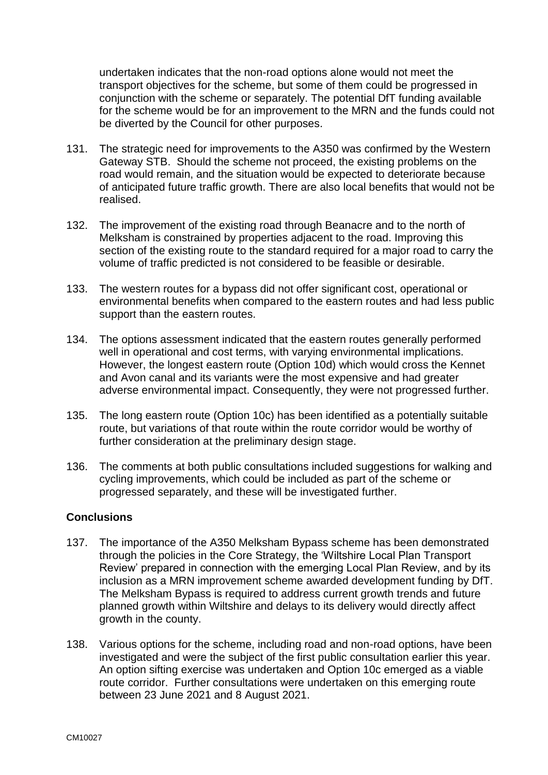undertaken indicates that the non-road options alone would not meet the transport objectives for the scheme, but some of them could be progressed in conjunction with the scheme or separately. The potential DfT funding available for the scheme would be for an improvement to the MRN and the funds could not be diverted by the Council for other purposes.

- 131. The strategic need for improvements to the A350 was confirmed by the Western Gateway STB. Should the scheme not proceed, the existing problems on the road would remain, and the situation would be expected to deteriorate because of anticipated future traffic growth. There are also local benefits that would not be realised.
- 132. The improvement of the existing road through Beanacre and to the north of Melksham is constrained by properties adjacent to the road. Improving this section of the existing route to the standard required for a major road to carry the volume of traffic predicted is not considered to be feasible or desirable.
- 133. The western routes for a bypass did not offer significant cost, operational or environmental benefits when compared to the eastern routes and had less public support than the eastern routes.
- 134. The options assessment indicated that the eastern routes generally performed well in operational and cost terms, with varying environmental implications. However, the longest eastern route (Option 10d) which would cross the Kennet and Avon canal and its variants were the most expensive and had greater adverse environmental impact. Consequently, they were not progressed further.
- 135. The long eastern route (Option 10c) has been identified as a potentially suitable route, but variations of that route within the route corridor would be worthy of further consideration at the preliminary design stage.
- 136. The comments at both public consultations included suggestions for walking and cycling improvements, which could be included as part of the scheme or progressed separately, and these will be investigated further.

# **Conclusions**

- 137. The importance of the A350 Melksham Bypass scheme has been demonstrated through the policies in the Core Strategy, the 'Wiltshire Local Plan Transport Review' prepared in connection with the emerging Local Plan Review, and by its inclusion as a MRN improvement scheme awarded development funding by DfT. The Melksham Bypass is required to address current growth trends and future planned growth within Wiltshire and delays to its delivery would directly affect growth in the county.
- 138. Various options for the scheme, including road and non-road options, have been investigated and were the subject of the first public consultation earlier this year. An option sifting exercise was undertaken and Option 10c emerged as a viable route corridor. Further consultations were undertaken on this emerging route between 23 June 2021 and 8 August 2021.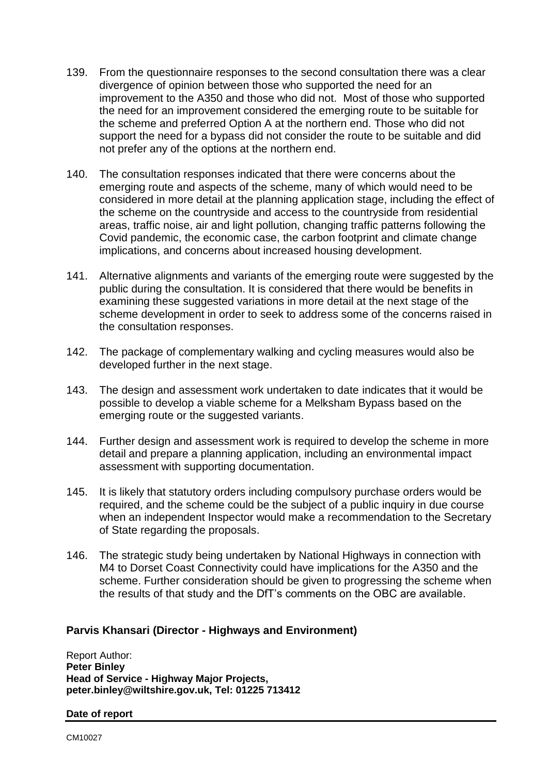- 139. From the questionnaire responses to the second consultation there was a clear divergence of opinion between those who supported the need for an improvement to the A350 and those who did not. Most of those who supported the need for an improvement considered the emerging route to be suitable for the scheme and preferred Option A at the northern end. Those who did not support the need for a bypass did not consider the route to be suitable and did not prefer any of the options at the northern end.
- 140. The consultation responses indicated that there were concerns about the emerging route and aspects of the scheme, many of which would need to be considered in more detail at the planning application stage, including the effect of the scheme on the countryside and access to the countryside from residential areas, traffic noise, air and light pollution, changing traffic patterns following the Covid pandemic, the economic case, the carbon footprint and climate change implications, and concerns about increased housing development.
- 141. Alternative alignments and variants of the emerging route were suggested by the public during the consultation. It is considered that there would be benefits in examining these suggested variations in more detail at the next stage of the scheme development in order to seek to address some of the concerns raised in the consultation responses.
- 142. The package of complementary walking and cycling measures would also be developed further in the next stage.
- 143. The design and assessment work undertaken to date indicates that it would be possible to develop a viable scheme for a Melksham Bypass based on the emerging route or the suggested variants.
- 144. Further design and assessment work is required to develop the scheme in more detail and prepare a planning application, including an environmental impact assessment with supporting documentation.
- 145. It is likely that statutory orders including compulsory purchase orders would be required, and the scheme could be the subject of a public inquiry in due course when an independent Inspector would make a recommendation to the Secretary of State regarding the proposals.
- 146. The strategic study being undertaken by National Highways in connection with M4 to Dorset Coast Connectivity could have implications for the A350 and the scheme. Further consideration should be given to progressing the scheme when the results of that study and the DfT's comments on the OBC are available.

# **Parvis Khansari (Director - Highways and Environment)**

Report Author: **Peter Binley Head of Service - Highway Major Projects, peter.binley@wiltshire.gov.uk, Tel: 01225 713412** 

#### **Date of report**